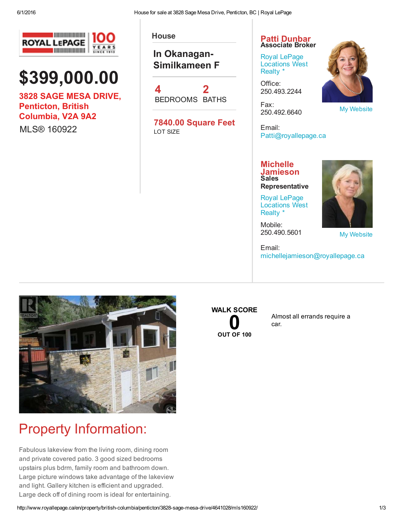

# \$399,000.00

3828 SAGE MESA DRIVE, Penticton, British Columbia, V2A 9A2

MLS® 160922

#### In Okanagan-Similkameen F

4 BEDROOMS BATHS 2

7840.00 Square Feet LOT SIZE

#### House **Patti [Dunbar](http://www.royallepage.ca/en/agent/british-columbia/penticton/patti-dunbar/2317/)** Associate Broker

Royal LePage [Locations](http://www.royallepage.ca/en/office/british-columbia/penticton/royal-lepage-locations-west-realty/308/) West Realty \*

Office: 250.493.2244

Fax: 250.492.6640



My [Website](http://patti@pattidunbar.ca/)

My [Website](http://www.michellejamieson.ca/)

Email: Patti@royallepage.ca

#### **Michelle** [Jamieson](http://www.royallepage.ca/en/agent/british-columbia/penticton/michelle-jamieson/12503/) Sales **Representative**

Royal LePage [Locations](http://www.royallepage.ca/en/office/british-columbia/penticton/royal-lepage-locations-west-realty/308/) West Realty \*

Mobile: 250.490.5601

Email: michellejamieson@royallepage.ca



#### Property Information:

Fabulous lakeview from the living room, dining room and private covered patio. 3 good sized bedrooms upstairs plus bdrm, family room and bathroom down. Large picture windows take advantage of the lakeview and light. Gallery kitchen is efficient and upgraded. Large deck off of dining room is ideal for entertaining.

## WALK SCORE  $\int_{\text{OUT OF 100}}$  $\int_{\text{OUT OF 100}}$  $\int_{\text{OUT OF 100}}$

Almost all errands require a car.